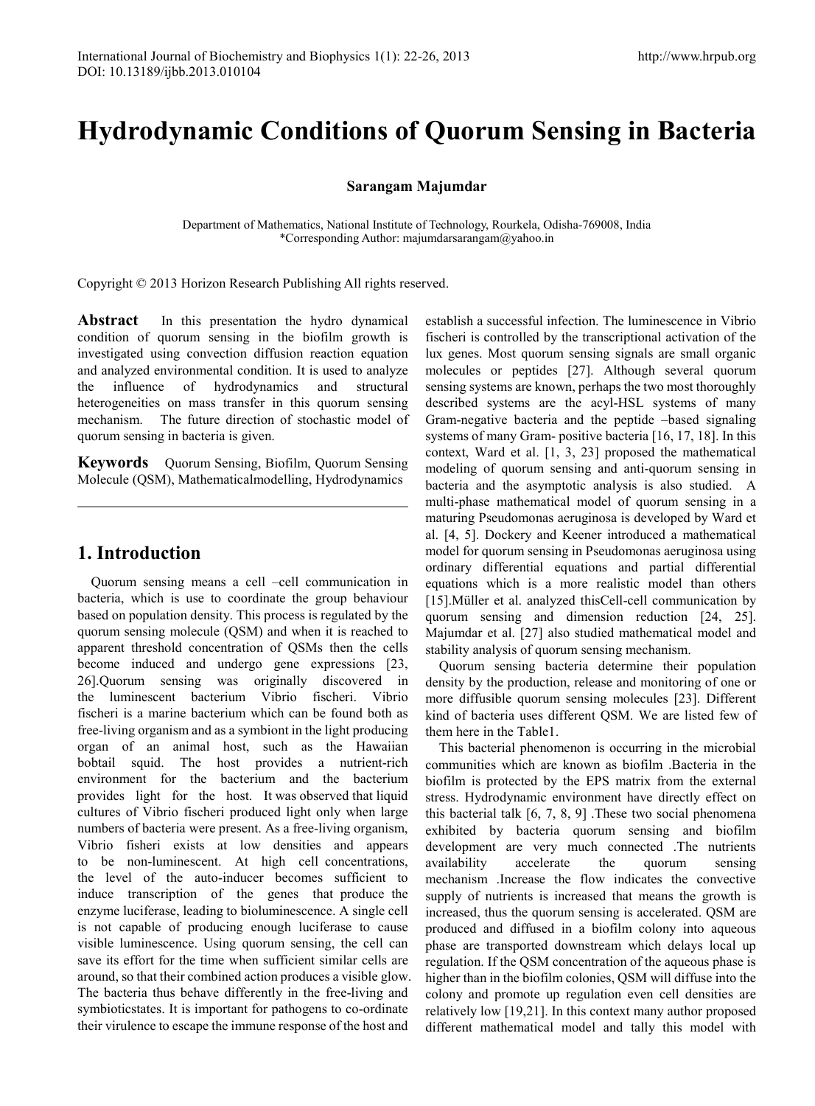# **Hydrodynamic Conditions of Quorum Sensing in Bacteria**

**Sarangam Majumdar**

Department of Mathematics, National Institute of Technology, Rourkela, Odisha-769008, India \*Corresponding Author: majumdarsarangam@yahoo.in

Copyright © 2013 Horizon Research Publishing All rights reserved.

**Abstract** In this presentation the hydro dynamical condition of quorum sensing in the biofilm growth is investigated using convection diffusion reaction equation and analyzed environmental condition. It is used to analyze the influence of hydrodynamics and structural heterogeneities on mass transfer in this quorum sensing mechanism. The future direction of stochastic model of quorum sensing in bacteria is given.

**Keywords** Quorum Sensing, Biofilm, Quorum Sensing Molecule (QSM), Mathematicalmodelling, Hydrodynamics

## **1. Introduction**

Quorum sensing means a cell –cell communication in bacteria, which is use to coordinate the group behaviour based on population density. This process is regulated by the quorum sensing molecule (QSM) and when it is reached to apparent threshold concentration of QSMs then the cells become induced and undergo gene expressions [23, 26].Quorum sensing was originally discovered in the luminescent bacterium Vibrio fischeri. Vibrio fischeri is a marine bacterium which can be found both as free-living organism and as a symbiont in the light producing organ of an animal host, such as the Hawaiian bobtail squid. The host provides a nutrient-rich environment for the bacterium and the bacterium provides light for the host. It was observed that liquid cultures of Vibrio fischeri produced light only when large numbers of bacteria were present. As a free-living organism, Vibrio fisheri exists at low densities and appears to be non-luminescent. At high cell concentrations, the level of the auto-inducer becomes sufficient to induce transcription of the genes that produce the enzyme luciferase, leading to bioluminescence. A single cell is not capable of producing enough luciferase to cause visible luminescence. Using quorum sensing, the cell can save its effort for the time when sufficient similar cells are around, so that their combined action produces a visible glow. The bacteria thus behave differently in the free-living and symbioticstates. It is important for pathogens to co-ordinate their virulence to escape the immune response of the host and

establish a successful infection. The luminescence in Vibrio fischeri is controlled by the transcriptional activation of the lux genes. Most quorum sensing signals are small organic molecules or peptides [27]. Although several quorum sensing systems are known, perhaps the two most thoroughly described systems are the acyl-HSL systems of many Gram-negative bacteria and the peptide –based signaling systems of many Gram- positive bacteria [16, 17, 18]. In this context, Ward et al. [1, 3, 23] proposed the mathematical modeling of quorum sensing and anti-quorum sensing in bacteria and the asymptotic analysis is also studied. A multi-phase mathematical model of quorum sensing in a maturing Pseudomonas aeruginosa is developed by Ward et al. [4, 5]. Dockery and Keener introduced a mathematical model for quorum sensing in Pseudomonas aeruginosa using ordinary differential equations and partial differential equations which is a more realistic model than others [15].Müller et al. analyzed thisCell-cell communication by quorum sensing and dimension reduction [24, 25]. Majumdar et al. [27] also studied mathematical model and stability analysis of quorum sensing mechanism.

Quorum sensing bacteria determine their population density by the production, release and monitoring of one or more diffusible quorum sensing molecules [23]. Different kind of bacteria uses different QSM. We are listed few of them here in the Table1.

This bacterial phenomenon is occurring in the microbial communities which are known as biofilm .Bacteria in the biofilm is protected by the EPS matrix from the external stress. Hydrodynamic environment have directly effect on this bacterial talk [6, 7, 8, 9] .These two social phenomena exhibited by bacteria quorum sensing and biofilm development are very much connected .The nutrients availability accelerate the quorum sensing mechanism .Increase the flow indicates the convective supply of nutrients is increased that means the growth is increased, thus the quorum sensing is accelerated. QSM are produced and diffused in a biofilm colony into aqueous phase are transported downstream which delays local up regulation. If the QSM concentration of the aqueous phase is higher than in the biofilm colonies, QSM will diffuse into the colony and promote up regulation even cell densities are relatively low [19,21]. In this context many author proposed different mathematical model and tally this model with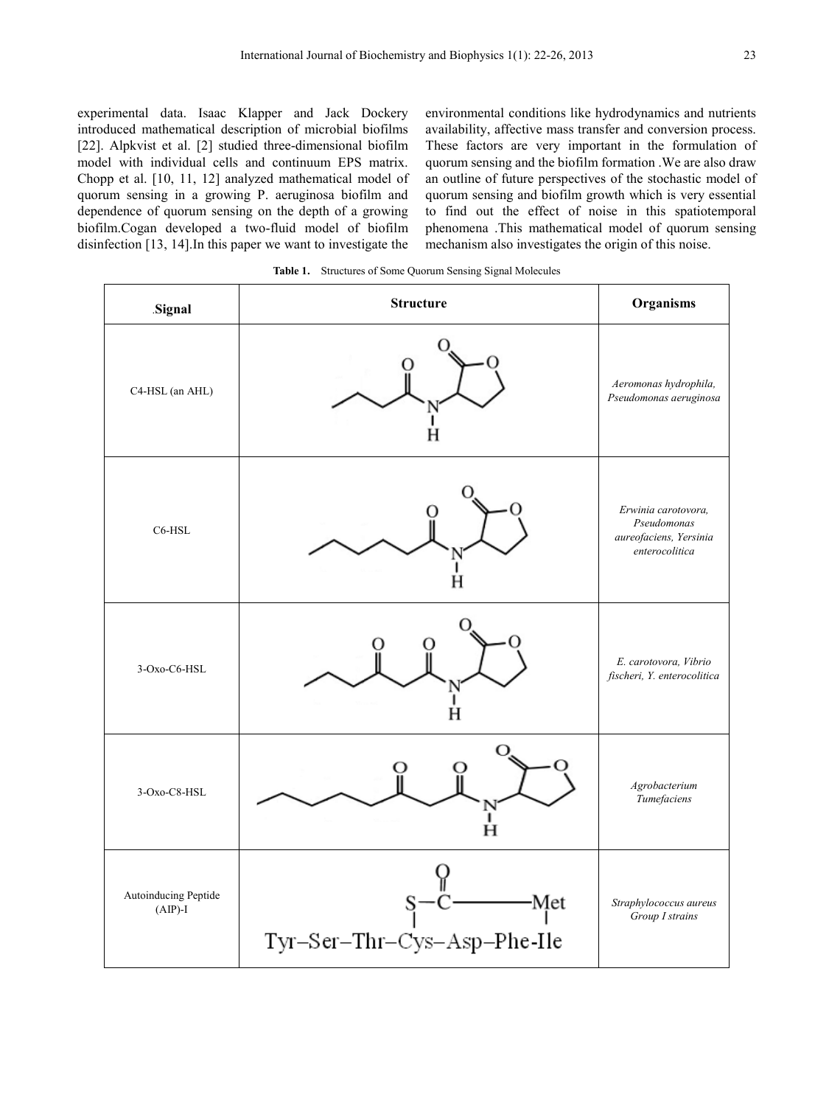experimental data. Isaac Klapper and Jack Dockery introduced mathematical description of microbial biofilms [22]. Alpkvist et al. [2] studied three-dimensional biofilm model with individual cells and continuum EPS matrix. Chopp et al. [10, 11, 12] analyzed mathematical model of quorum sensing in a growing P. aeruginosa biofilm and dependence of quorum sensing on the depth of a growing biofilm.Cogan developed a two-fluid model of biofilm disinfection [13, 14].In this paper we want to investigate the

environmental conditions like hydrodynamics and nutrients availability, affective mass transfer and conversion process. These factors are very important in the formulation of quorum sensing and the biofilm formation .We are also draw an outline of future perspectives of the stochastic model of quorum sensing and biofilm growth which is very essential to find out the effect of noise in this spatiotemporal phenomena .This mathematical model of quorum sensing mechanism also investigates the origin of this noise.

**Table 1.** Structures of Some Quorum Sensing Signal Molecules

| Signal                            | <b>Structure</b>                   | Organisms                                                                      |
|-----------------------------------|------------------------------------|--------------------------------------------------------------------------------|
| C4-HSL (an AHL)                   |                                    | Aeromonas hydrophila,<br>Pseudomonas aeruginosa                                |
| C6-HSL                            |                                    | Erwinia carotovora,<br>Pseudomonas<br>aureofaciens, Yersinia<br>enterocolitica |
| 3-Oxo-C6-HSL                      |                                    | E. carotovora, Vibrio<br>fischeri, Y. enterocolitica                           |
| 3-Oxo-C8-HSL                      | Ï<br>Ĥ                             | Agrobacterium<br>Tumefaciens                                                   |
| Autoinducing Peptide<br>$(AIP)-I$ | Met<br>Tyr-Ser-Thr-Cys-Asp-Phe-Ile | Straphylococcus aureus<br>Group I strains                                      |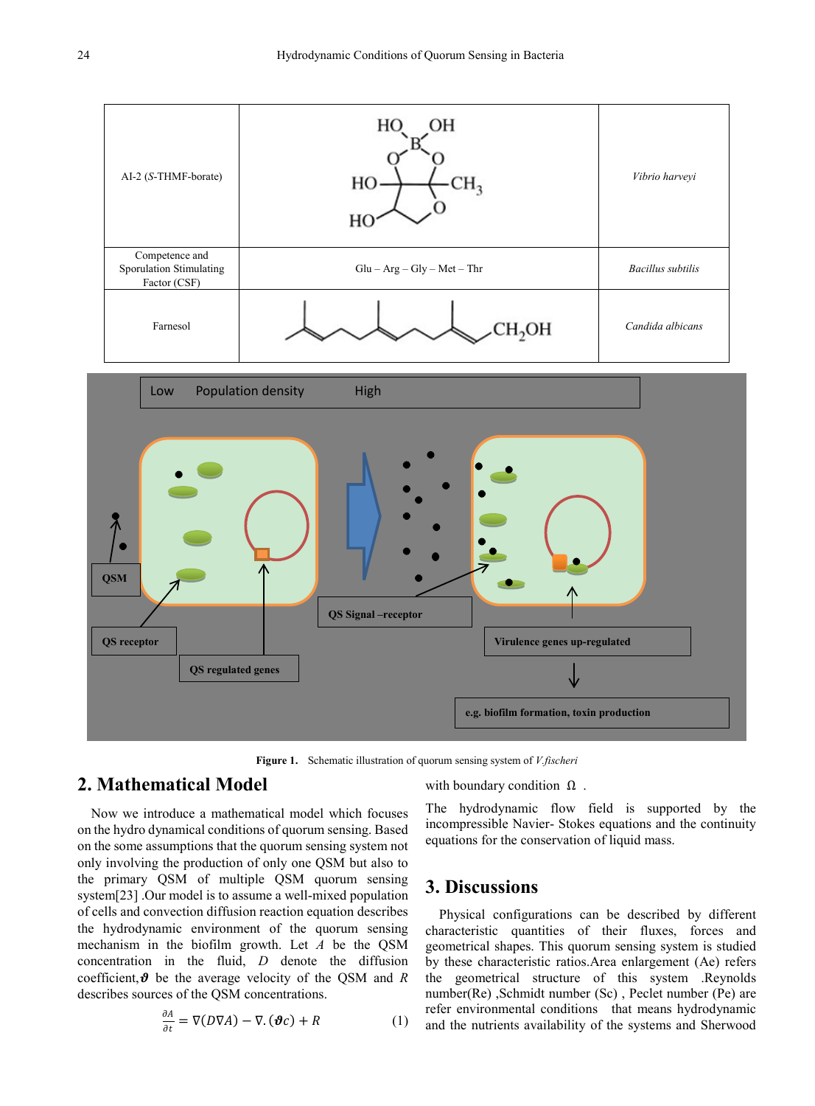

**Figure 1.** Schematic illustration of quorum sensing system of *V.fischeri*

# **2. Mathematical Model**

Now we introduce a mathematical model which focuses on the hydro dynamical conditions of quorum sensing. Based on the some assumptions that the quorum sensing system not only involving the production of only one QSM but also to the primary QSM of multiple QSM quorum sensing system[23] .Our model is to assume a well-mixed population of cells and convection diffusion reaction equation describes the hydrodynamic environment of the quorum sensing mechanism in the biofilm growth. Let *A* be the QSM concentration in the fluid, *D* denote the diffusion coefficient,  $\theta$  be the average velocity of the OSM and *R* describes sources of the QSM concentrations.

$$
\frac{\partial A}{\partial t} = \nabla(D\nabla A) - \nabla \cdot (\boldsymbol{\vartheta} c) + R \tag{1}
$$

with boundary condition  $\Omega$ .

The hydrodynamic flow field is supported by the incompressible Navier- Stokes equations and the continuity equations for the conservation of liquid mass.

#### **3. Discussions**

Physical configurations can be described by different characteristic quantities of their fluxes, forces and geometrical shapes. This quorum sensing system is studied by these characteristic ratios.Area enlargement (Ae) refers the geometrical structure of this system .Reynolds number(Re) ,Schmidt number (Sc) , Peclet number (Pe) are refer environmental conditions that means hydrodynamic and the nutrients availability of the systems and Sherwood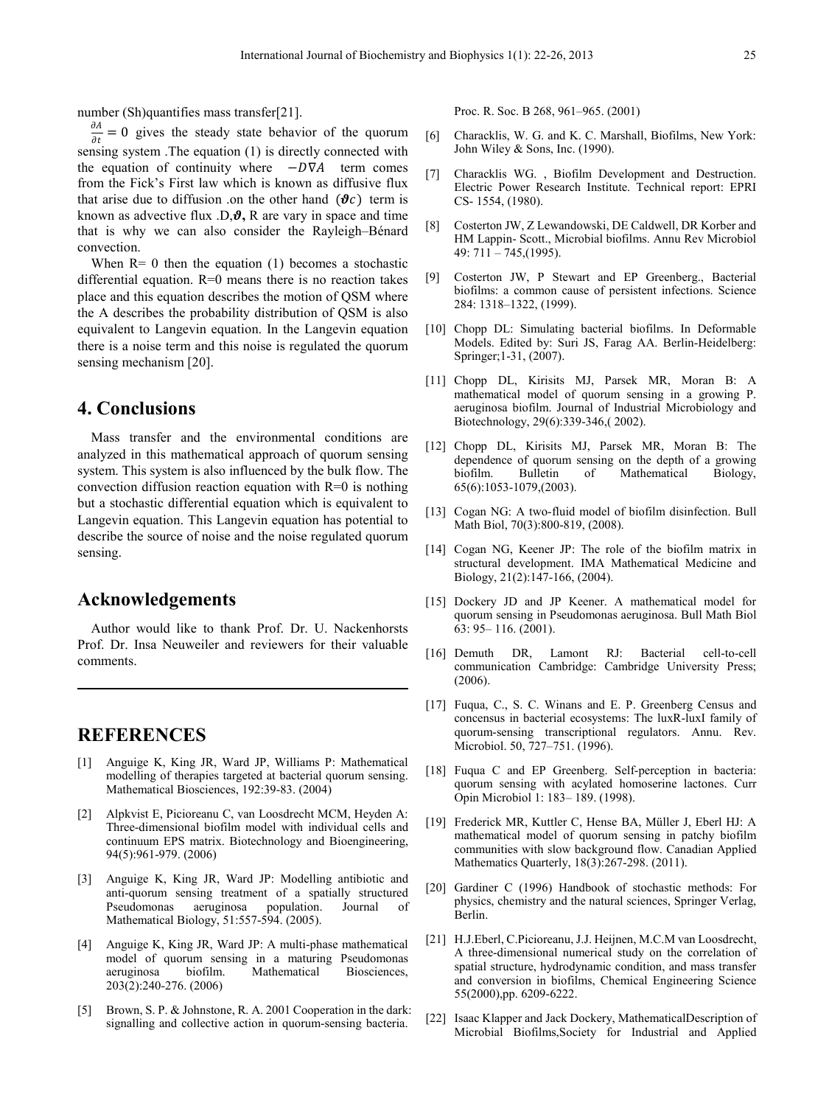number (Sh)quantifies mass transfer[21].

 $\frac{\partial A}{\partial t} = 0$  gives the steady state behavior of the quorum sensing system .The equation (1) is directly connected with the equation of continuity where  $-D\nabla A$  term comes from the Fick's First law which is known as diffusive flux that arise due to diffusion .on the other hand  $(\theta c)$  term is known as advective flux  $D, \theta$ , R are vary in space and time that is why we can also consider the Rayleigh–Bénard convection.

When  $R=0$  then the equation (1) becomes a stochastic differential equation.  $R=0$  means there is no reaction takes place and this equation describes the motion of QSM where the A describes the probability distribution of QSM is also equivalent to Langevin equation. In the Langevin equation there is a noise term and this noise is regulated the quorum sensing mechanism [20].

# **4. Conclusions**

Mass transfer and the environmental conditions are analyzed in this mathematical approach of quorum sensing system. This system is also influenced by the bulk flow. The convection diffusion reaction equation with  $R=0$  is nothing but a stochastic differential equation which is equivalent to Langevin equation. This Langevin equation has potential to describe the source of noise and the noise regulated quorum sensing.

### **Acknowledgements**

Author would like to thank Prof. Dr. U. Nackenhorsts Prof. Dr. Insa Neuweiler and reviewers for their valuable comments.

#### **REFERENCES**

- [1] Anguige K, King JR, Ward JP, Williams P: Mathematical modelling of therapies targeted at bacterial quorum sensing. Mathematical Biosciences, 192:39-83. (2004)
- [2] Alpkvist E, Picioreanu C, van Loosdrecht MCM, Heyden A: Three-dimensional biofilm model with individual cells and continuum EPS matrix. Biotechnology and Bioengineering, 94(5):961-979. (2006)
- [3] Anguige K, King JR, Ward JP: Modelling antibiotic and anti-quorum sensing treatment of a spatially structured Pseudomonas aeruginosa population. Journal of Mathematical Biology, 51:557-594. (2005).
- [4] Anguige K, King JR, Ward JP: A multi-phase mathematical model of quorum sensing in a maturing Pseudomonas aeruginosa biofilm. Mathematical Biosciences, 203(2):240-276. (2006)
- [5] Brown, S. P. & Johnstone, R. A. 2001 Cooperation in the dark: signalling and collective action in quorum-sensing bacteria.

Proc. R. Soc. B 268, 961–965. (2001)

- [6] Characklis, W. G. and K. C. Marshall, Biofilms, New York: John Wiley & Sons, Inc. (1990).
- [7] Characklis WG. , Biofilm Development and Destruction. Electric Power Research Institute. Technical report: EPRI CS- 1554, (1980).
- [8] Costerton JW, Z Lewandowski, DE Caldwell, DR Korber and HM Lappin- Scott., Microbial biofilms. Annu Rev Microbiol 49: 711 – 745,(1995).
- [9] Costerton JW, P Stewart and EP Greenberg., Bacterial biofilms: a common cause of persistent infections. Science 284: 1318–1322, (1999).
- [10] Chopp DL: Simulating bacterial biofilms. In Deformable Models. Edited by: Suri JS, Farag AA. Berlin-Heidelberg: Springer;1-31, (2007).
- [11] Chopp DL, Kirisits MJ, Parsek MR, Moran B: A mathematical model of quorum sensing in a growing P. aeruginosa biofilm. Journal of Industrial Microbiology and Biotechnology, 29(6):339-346,( 2002).
- [12] Chopp DL, Kirisits MJ, Parsek MR, Moran B: The dependence of quorum sensing on the depth of a growing biofilm. Bulletin of Mathematical Biology, 65(6):1053-1079,(2003).
- [13] Cogan NG: A two-fluid model of biofilm disinfection. Bull Math Biol, 70(3):800-819, (2008).
- [14] Cogan NG, Keener JP: The role of the biofilm matrix in structural development. IMA Mathematical Medicine and Biology, 21(2):147-166, (2004).
- [15] Dockery JD and JP Keener. A mathematical model for quorum sensing in Pseudomonas aeruginosa. Bull Math Biol 63: 95– 116. (2001).
- [16] Demuth DR, Lamont RJ: Bacterial cell-to-cell communication Cambridge: Cambridge University Press; (2006).
- [17] Fuqua, C., S. C. Winans and E. P. Greenberg Census and concensus in bacterial ecosystems: The luxR-luxI family of quorum-sensing transcriptional regulators. Annu. Rev. Microbiol. 50, 727–751. (1996).
- [18] Fuqua C and EP Greenberg. Self-perception in bacteria: quorum sensing with acylated homoserine lactones. Curr Opin Microbiol 1: 183– 189. (1998).
- [19] Frederick MR, Kuttler C, Hense BA, Müller J, Eberl HJ: A mathematical model of quorum sensing in patchy biofilm communities with slow background flow. Canadian Applied Mathematics Quarterly, 18(3):267-298. (2011).
- [20] Gardiner C (1996) Handbook of stochastic methods: For physics, chemistry and the natural sciences, Springer Verlag, Berlin.
- [21] H.J.Eberl, C.Picioreanu, J.J. Heijnen, M.C.M van Loosdrecht, A three-dimensional numerical study on the correlation of spatial structure, hydrodynamic condition, and mass transfer and conversion in biofilms, Chemical Engineering Science 55(2000),pp. 6209-6222.
- [22] Isaac Klapper and Jack Dockery, MathematicalDescription of Microbial Biofilms,Society for Industrial and Applied